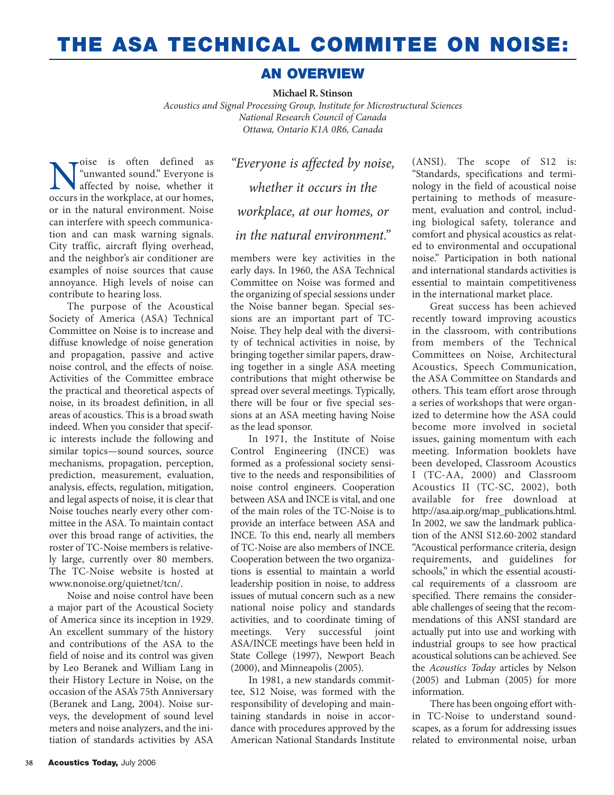## **THE ASA TECHNICAL COMMITEE ON NOISE:**

## **AN OVERVIEW**

**Michael R. Stinson**

*Acoustics and Signal Processing Group, Institute for Microstructural Sciences National Research Council of Canada Ottawa, Ontario K1A 0R6, Canada*

Noise is often defined as<br>
"unwanted sound." Everyone is<br>
affected by noise, whether it<br>
occurs in the workplace at our homes. "unwanted sound." Everyone is affected by noise, whether it occurs in the workplace, at our homes, or in the natural environment. Noise can interfere with speech communication and can mask warning signals. City traffic, aircraft flying overhead, and the neighbor's air conditioner are examples of noise sources that cause annoyance. High levels of noise can contribute to hearing loss.

The purpose of the Acoustical Society of America (ASA) Technical Committee on Noise is to increase and diffuse knowledge of noise generation and propagation, passive and active noise control, and the effects of noise. Activities of the Committee embrace the practical and theoretical aspects of noise, in its broadest definition, in all areas of acoustics. This is a broad swath indeed. When you consider that specific interests include the following and similar topics—sound sources, source mechanisms, propagation, perception, prediction, measurement, evaluation, analysis, effects, regulation, mitigation, and legal aspects of noise, it is clear that Noise touches nearly every other committee in the ASA. To maintain contact over this broad range of activities, the roster of TC-Noise members is relatively large, currently over 80 members. The TC-Noise website is hosted at www.nonoise.org/quietnet/tcn/.

Noise and noise control have been a major part of the Acoustical Society of America since its inception in 1929. An excellent summary of the history and contributions of the ASA to the field of noise and its control was given by Leo Beranek and William Lang in their History Lecture in Noise, on the occasion of the ASA's 75th Anniversary (Beranek and Lang, 2004). Noise surveys, the development of sound level meters and noise analyzers, and the initiation of standards activities by ASA

*"Everyone is affected by noise, whether it occurs in the workplace, at our homes, or in the natural environment."*

members were key activities in the early days. In 1960, the ASA Technical Committee on Noise was formed and the organizing of special sessions under the Noise banner began. Special sessions are an important part of TC-Noise. They help deal with the diversity of technical activities in noise, by bringing together similar papers, drawing together in a single ASA meeting contributions that might otherwise be spread over several meetings. Typically, there will be four or five special sessions at an ASA meeting having Noise as the lead sponsor.

In 1971, the Institute of Noise Control Engineering (INCE) was formed as a professional society sensitive to the needs and responsibilities of noise control engineers. Cooperation between ASA and INCE is vital, and one of the main roles of the TC-Noise is to provide an interface between ASA and INCE. To this end, nearly all members of TC-Noise are also members of INCE. Cooperation between the two organizations is essential to maintain a world leadership position in noise, to address issues of mutual concern such as a new national noise policy and standards activities, and to coordinate timing of meetings. Very successful joint ASA/INCE meetings have been held in State College (1997), Newport Beach (2000), and Minneapolis (2005).

In 1981, a new standards committee, S12 Noise, was formed with the responsibility of developing and maintaining standards in noise in accordance with procedures approved by the American National Standards Institute (ANSI). The scope of S12 is: "Standards, specifications and terminology in the field of acoustical noise pertaining to methods of measurement, evaluation and control, including biological safety, tolerance and comfort and physical acoustics as related to environmental and occupational noise." Participation in both national and international standards activities is essential to maintain competitiveness in the international market place.

Great success has been achieved recently toward improving acoustics in the classroom, with contributions from members of the Technical Committees on Noise, Architectural Acoustics, Speech Communication, the ASA Committee on Standards and others. This team effort arose through a series of workshops that were organized to determine how the ASA could become more involved in societal issues, gaining momentum with each meeting. Information booklets have been developed, Classroom Acoustics I (TC-AA, 2000) and Classroom Acoustics II (TC-SC, 2002), both available for free download at http://asa.aip.org/map\_publications.html. In 2002, we saw the landmark publication of the ANSI S12.60-2002 standard "Acoustical performance criteria, design requirements, and guidelines for schools," in which the essential acoustical requirements of a classroom are specified. There remains the considerable challenges of seeing that the recommendations of this ANSI standard are actually put into use and working with industrial groups to see how practical acoustical solutions can be achieved. See the *Acoustics Today* articles by Nelson (2005) and Lubman (2005) for more information.

There has been ongoing effort within TC-Noise to understand soundscapes, as a forum for addressing issues related to environmental noise, urban